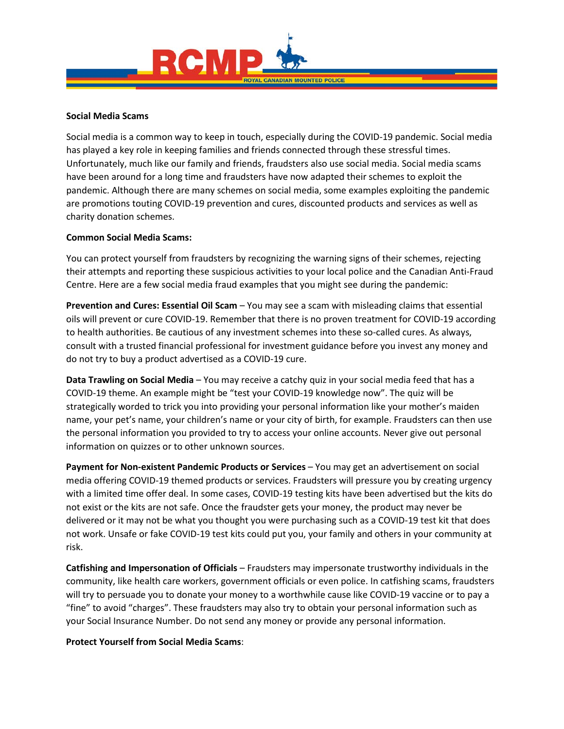

## **Social Media Scams**

Social media is a common way to keep in touch, especially during the COVID-19 pandemic. Social media has played a key role in keeping families and friends connected through these stressful times. Unfortunately, much like our family and friends, fraudsters also use social media. Social media scams have been around for a long time and fraudsters have now adapted their schemes to exploit the pandemic. Although there are many schemes on social media, some examples exploiting the pandemic are promotions touting COVID-19 prevention and cures, discounted products and services as well as charity donation schemes.

### **Common Social Media Scams:**

You can protect yourself from fraudsters by recognizing the warning signs of their schemes, rejecting their attempts and reporting these suspicious activities to your local police and the Canadian Anti-Fraud Centre. Here are a few social media fraud examples that you might see during the pandemic:

**Prevention and Cures: Essential Oil Scam** – You may see a scam with misleading claims that essential oils will prevent or cure COVID-19. Remember that there is no proven treatment for COVID-19 according to health authorities. Be cautious of any investment schemes into these so-called cures. As always, consult with a trusted financial professional for investment guidance before you invest any money and do not try to buy a product advertised as a COVID-19 cure.

**Data Trawling on Social Media** – You may receive a catchy quiz in your social media feed that has a COVID-19 theme. An example might be "test your COVID-19 knowledge now". The quiz will be strategically worded to trick you into providing your personal information like your mother's maiden name, your pet's name, your children's name or your city of birth, for example. Fraudsters can then use the personal information you provided to try to access your online accounts. Never give out personal information on quizzes or to other unknown sources.

**Payment for Non-existent Pandemic Products or Services** – You may get an advertisement on social media offering COVID-19 themed products or services. Fraudsters will pressure you by creating urgency with a limited time offer deal. In some cases, COVID-19 testing kits have been advertised but the kits do not exist or the kits are not safe. Once the fraudster gets your money, the product may never be delivered or it may not be what you thought you were purchasing such as a COVID-19 test kit that does not work. Unsafe or fake COVID-19 test kits could put you, your family and others in your community at risk.

**Catfishing and Impersonation of Officials** – Fraudsters may impersonate trustworthy individuals in the community, like health care workers, government officials or even police. In catfishing scams, fraudsters will try to persuade you to donate your money to a worthwhile cause like COVID-19 vaccine or to pay a "fine" to avoid "charges". These fraudsters may also try to obtain your personal information such as your Social Insurance Number. Do not send any money or provide any personal information.

#### **Protect Yourself from Social Media Scams**: